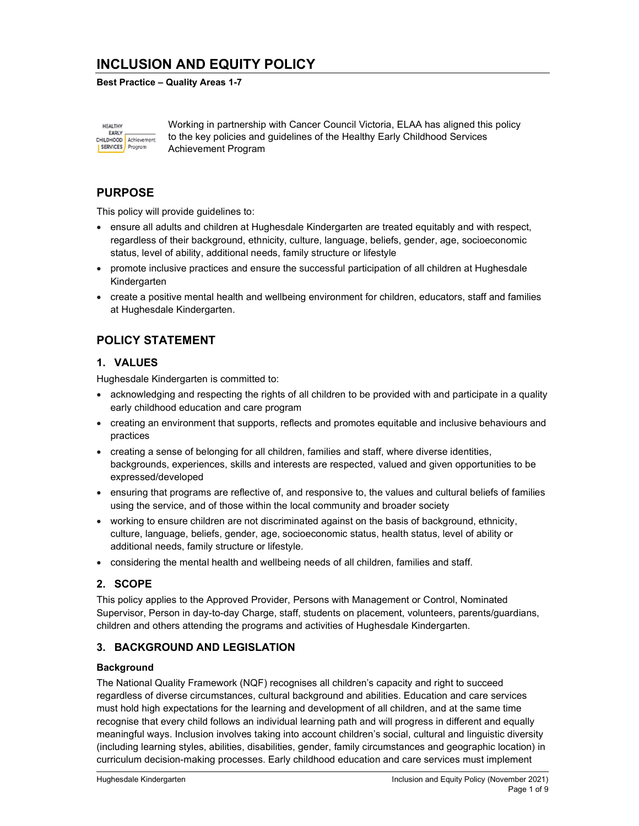# INCLUSION AND EQUITY POLICY

#### Best Practice – Quality Areas 1-7

**HEALTHY** EARLY CHILDHOOD Achievement SERVICES Program

Working in partnership with Cancer Council Victoria, ELAA has aligned this policy to the key policies and guidelines of the Healthy Early Childhood Services Achievement Program

## PURPOSE

This policy will provide guidelines to:

- ensure all adults and children at Hughesdale Kindergarten are treated equitably and with respect, regardless of their background, ethnicity, culture, language, beliefs, gender, age, socioeconomic status, level of ability, additional needs, family structure or lifestyle
- promote inclusive practices and ensure the successful participation of all children at Hughesdale Kindergarten
- create a positive mental health and wellbeing environment for children, educators, staff and families at Hughesdale Kindergarten.

## POLICY STATEMENT

### 1. VALUES

Hughesdale Kindergarten is committed to:

- acknowledging and respecting the rights of all children to be provided with and participate in a quality early childhood education and care program
- creating an environment that supports, reflects and promotes equitable and inclusive behaviours and practices
- creating a sense of belonging for all children, families and staff, where diverse identities, backgrounds, experiences, skills and interests are respected, valued and given opportunities to be expressed/developed
- ensuring that programs are reflective of, and responsive to, the values and cultural beliefs of families using the service, and of those within the local community and broader society
- working to ensure children are not discriminated against on the basis of background, ethnicity, culture, language, beliefs, gender, age, socioeconomic status, health status, level of ability or additional needs, family structure or lifestyle.
- considering the mental health and wellbeing needs of all children, families and staff.

### 2. SCOPE

This policy applies to the Approved Provider, Persons with Management or Control, Nominated Supervisor, Person in day-to-day Charge, staff, students on placement, volunteers, parents/guardians, children and others attending the programs and activities of Hughesdale Kindergarten.

### 3. BACKGROUND AND LEGISLATION

#### **Background**

The National Quality Framework (NQF) recognises all children's capacity and right to succeed regardless of diverse circumstances, cultural background and abilities. Education and care services must hold high expectations for the learning and development of all children, and at the same time recognise that every child follows an individual learning path and will progress in different and equally meaningful ways. Inclusion involves taking into account children's social, cultural and linguistic diversity (including learning styles, abilities, disabilities, gender, family circumstances and geographic location) in curriculum decision-making processes. Early childhood education and care services must implement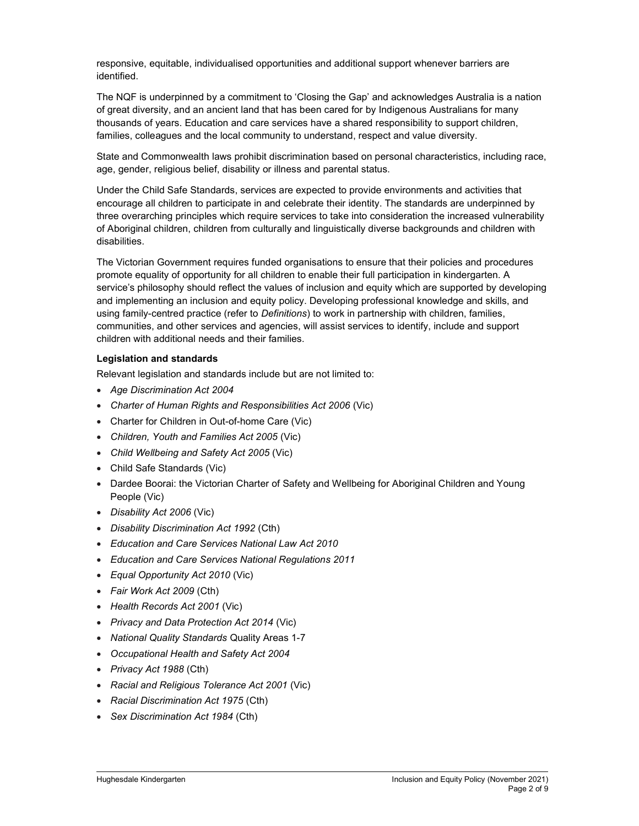responsive, equitable, individualised opportunities and additional support whenever barriers are identified.

The NQF is underpinned by a commitment to 'Closing the Gap' and acknowledges Australia is a nation of great diversity, and an ancient land that has been cared for by Indigenous Australians for many thousands of years. Education and care services have a shared responsibility to support children, families, colleagues and the local community to understand, respect and value diversity.

State and Commonwealth laws prohibit discrimination based on personal characteristics, including race, age, gender, religious belief, disability or illness and parental status.

Under the Child Safe Standards, services are expected to provide environments and activities that encourage all children to participate in and celebrate their identity. The standards are underpinned by three overarching principles which require services to take into consideration the increased vulnerability of Aboriginal children, children from culturally and linguistically diverse backgrounds and children with disabilities.

The Victorian Government requires funded organisations to ensure that their policies and procedures promote equality of opportunity for all children to enable their full participation in kindergarten. A service's philosophy should reflect the values of inclusion and equity which are supported by developing and implementing an inclusion and equity policy. Developing professional knowledge and skills, and using family-centred practice (refer to Definitions) to work in partnership with children, families, communities, and other services and agencies, will assist services to identify, include and support children with additional needs and their families.

#### Legislation and standards

Relevant legislation and standards include but are not limited to:

- Age Discrimination Act 2004
- Charter of Human Rights and Responsibilities Act 2006 (Vic)
- Charter for Children in Out-of-home Care (Vic)
- Children, Youth and Families Act 2005 (Vic)
- Child Wellbeing and Safety Act 2005 (Vic)
- Child Safe Standards (Vic)
- Dardee Boorai: the Victorian Charter of Safety and Wellbeing for Aboriginal Children and Young People (Vic)
- Disability Act 2006 (Vic)
- Disability Discrimination Act 1992 (Cth)
- Education and Care Services National Law Act 2010
- Education and Care Services National Regulations 2011
- Equal Opportunity Act 2010 (Vic)
- Fair Work Act 2009 (Cth)
- Health Records Act 2001 (Vic)
- Privacy and Data Protection Act 2014 (Vic)
- National Quality Standards Quality Areas 1-7
- Occupational Health and Safety Act 2004
- Privacy Act 1988 (Cth)
- Racial and Religious Tolerance Act 2001 (Vic)
- Racial Discrimination Act 1975 (Cth)
- Sex Discrimination Act 1984 (Cth)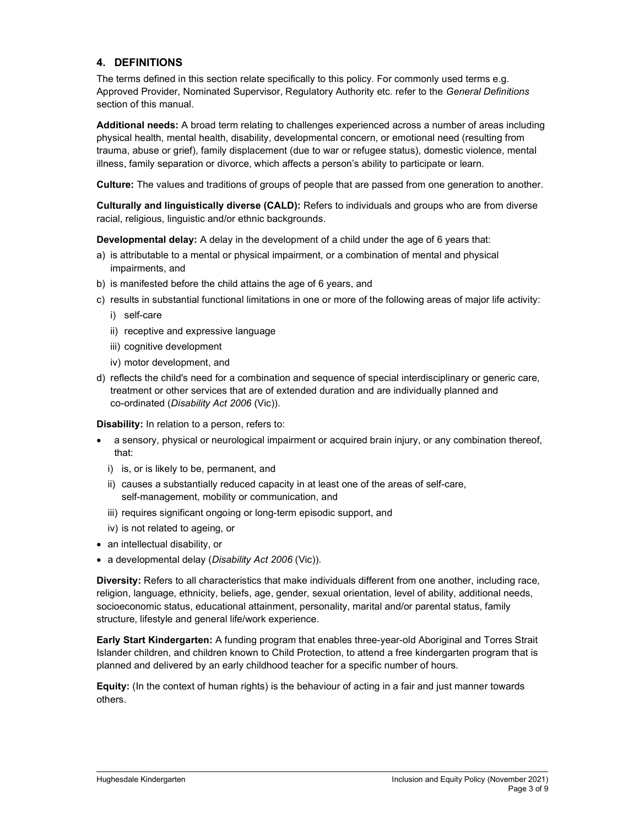### 4. DEFINITIONS

The terms defined in this section relate specifically to this policy. For commonly used terms e.g. Approved Provider, Nominated Supervisor, Regulatory Authority etc. refer to the General Definitions section of this manual.

Additional needs: A broad term relating to challenges experienced across a number of areas including physical health, mental health, disability, developmental concern, or emotional need (resulting from trauma, abuse or grief), family displacement (due to war or refugee status), domestic violence, mental illness, family separation or divorce, which affects a person's ability to participate or learn.

Culture: The values and traditions of groups of people that are passed from one generation to another.

Culturally and linguistically diverse (CALD): Refers to individuals and groups who are from diverse racial, religious, linguistic and/or ethnic backgrounds.

Developmental delay: A delay in the development of a child under the age of 6 years that:

- a) is attributable to a mental or physical impairment, or a combination of mental and physical impairments, and
- b) is manifested before the child attains the age of 6 years, and
- c) results in substantial functional limitations in one or more of the following areas of major life activity:
	- i) self-care
	- ii) receptive and expressive language
	- iii) cognitive development
	- iv) motor development, and
- d) reflects the child's need for a combination and sequence of special interdisciplinary or generic care, treatment or other services that are of extended duration and are individually planned and co-ordinated (Disability Act 2006 (Vic)).

Disability: In relation to a person, refers to:

- a sensory, physical or neurological impairment or acquired brain injury, or any combination thereof, that:
	- i) is, or is likely to be, permanent, and
	- ii) causes a substantially reduced capacity in at least one of the areas of self-care, self-management, mobility or communication, and
	- iii) requires significant ongoing or long-term episodic support, and
	- iv) is not related to ageing, or
- an intellectual disability, or
- a developmental delay (Disability Act 2006 (Vic)).

Diversity: Refers to all characteristics that make individuals different from one another, including race, religion, language, ethnicity, beliefs, age, gender, sexual orientation, level of ability, additional needs, socioeconomic status, educational attainment, personality, marital and/or parental status, family structure, lifestyle and general life/work experience.

Early Start Kindergarten: A funding program that enables three-year-old Aboriginal and Torres Strait Islander children, and children known to Child Protection, to attend a free kindergarten program that is planned and delivered by an early childhood teacher for a specific number of hours.

Equity: (In the context of human rights) is the behaviour of acting in a fair and just manner towards others.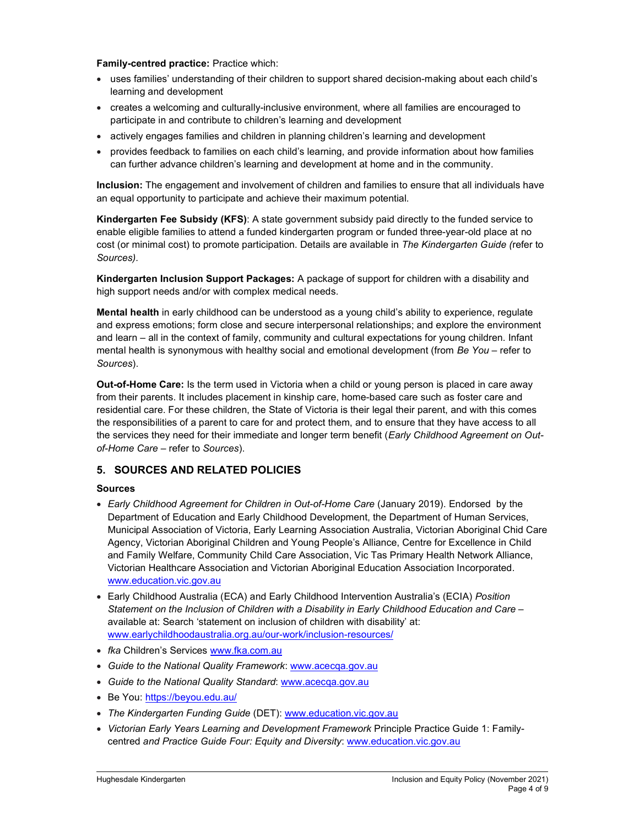#### Family-centred practice: Practice which:

- uses families' understanding of their children to support shared decision-making about each child's learning and development
- creates a welcoming and culturally-inclusive environment, where all families are encouraged to participate in and contribute to children's learning and development
- actively engages families and children in planning children's learning and development
- provides feedback to families on each child's learning, and provide information about how families can further advance children's learning and development at home and in the community.

Inclusion: The engagement and involvement of children and families to ensure that all individuals have an equal opportunity to participate and achieve their maximum potential.

Kindergarten Fee Subsidy (KFS): A state government subsidy paid directly to the funded service to enable eligible families to attend a funded kindergarten program or funded three-year-old place at no cost (or minimal cost) to promote participation. Details are available in The Kindergarten Guide (refer to Sources).

Kindergarten Inclusion Support Packages: A package of support for children with a disability and high support needs and/or with complex medical needs.

Mental health in early childhood can be understood as a young child's ability to experience, regulate and express emotions; form close and secure interpersonal relationships; and explore the environment and learn – all in the context of family, community and cultural expectations for young children. Infant mental health is synonymous with healthy social and emotional development (from Be You - refer to Sources).

Out-of-Home Care: Is the term used in Victoria when a child or young person is placed in care away from their parents. It includes placement in kinship care, home-based care such as foster care and residential care. For these children, the State of Victoria is their legal their parent, and with this comes the responsibilities of a parent to care for and protect them, and to ensure that they have access to all the services they need for their immediate and longer term benefit (Early Childhood Agreement on Outof-Home Care – refer to Sources).

### 5. SOURCES AND RELATED POLICIES

#### Sources

- Early Childhood Agreement for Children in Out-of-Home Care (January 2019). Endorsed by the Department of Education and Early Childhood Development, the Department of Human Services, Municipal Association of Victoria, Early Learning Association Australia, Victorian Aboriginal Chid Care Agency, Victorian Aboriginal Children and Young People's Alliance, Centre for Excellence in Child and Family Welfare, Community Child Care Association, Vic Tas Primary Health Network Alliance, Victorian Healthcare Association and Victorian Aboriginal Education Association Incorporated. www.education.vic.gov.au
- Early Childhood Australia (ECA) and Early Childhood Intervention Australia's (ECIA) Position Statement on the Inclusion of Children with a Disability in Early Childhood Education and Care – available at: Search 'statement on inclusion of children with disability' at: www.earlychildhoodaustralia.org.au/our-work/inclusion-resources/
- fka Children's Services www.fka.com.au
- Guide to the National Quality Framework: www.acecqa.gov.au
- Guide to the National Quality Standard: www.acecqa.gov.au
- Be You: https://beyou.edu.au/
- The Kindergarten Funding Guide (DET): www.education.vic.gov.au
- Victorian Early Years Learning and Development Framework Principle Practice Guide 1: Familycentred and Practice Guide Four: Equity and Diversity: www.education.vic.gov.au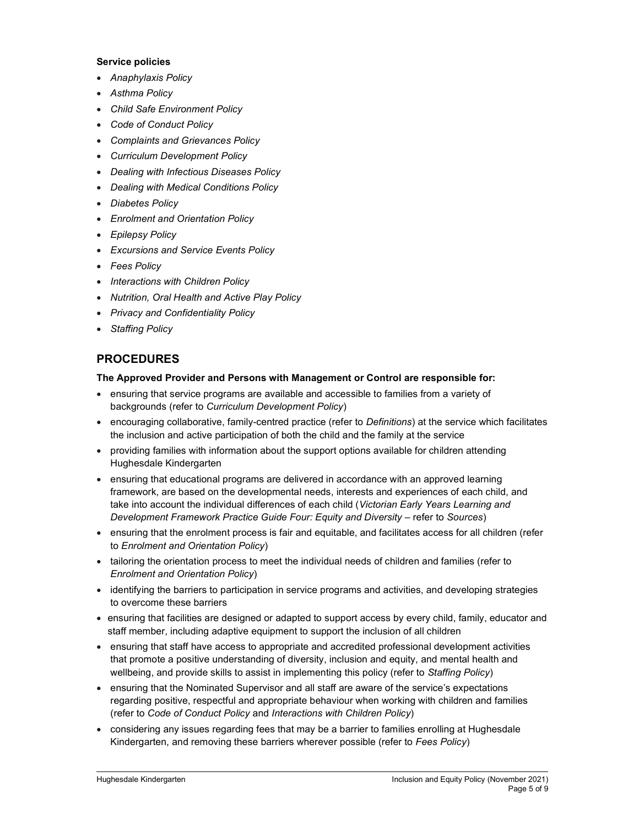#### Service policies

- Anaphylaxis Policy
- Asthma Policy
- Child Safe Environment Policy
- Code of Conduct Policy
- Complaints and Grievances Policy
- Curriculum Development Policy
- Dealing with Infectious Diseases Policy
- Dealing with Medical Conditions Policy
- Diabetes Policy
- Enrolment and Orientation Policy
- Epilepsy Policy
- Excursions and Service Events Policy
- Fees Policy
- Interactions with Children Policy
- Nutrition, Oral Health and Active Play Policy
- Privacy and Confidentiality Policy
- Staffing Policy

## PROCEDURES

#### The Approved Provider and Persons with Management or Control are responsible for:

- ensuring that service programs are available and accessible to families from a variety of backgrounds (refer to Curriculum Development Policy)
- encouraging collaborative, family-centred practice (refer to Definitions) at the service which facilitates the inclusion and active participation of both the child and the family at the service
- providing families with information about the support options available for children attending Hughesdale Kindergarten
- ensuring that educational programs are delivered in accordance with an approved learning framework, are based on the developmental needs, interests and experiences of each child, and take into account the individual differences of each child (Victorian Early Years Learning and Development Framework Practice Guide Four: Equity and Diversity – refer to Sources)
- ensuring that the enrolment process is fair and equitable, and facilitates access for all children (refer to Enrolment and Orientation Policy)
- tailoring the orientation process to meet the individual needs of children and families (refer to Enrolment and Orientation Policy)
- identifying the barriers to participation in service programs and activities, and developing strategies to overcome these barriers
- ensuring that facilities are designed or adapted to support access by every child, family, educator and staff member, including adaptive equipment to support the inclusion of all children
- ensuring that staff have access to appropriate and accredited professional development activities that promote a positive understanding of diversity, inclusion and equity, and mental health and wellbeing, and provide skills to assist in implementing this policy (refer to Staffing Policy)
- ensuring that the Nominated Supervisor and all staff are aware of the service's expectations regarding positive, respectful and appropriate behaviour when working with children and families (refer to Code of Conduct Policy and Interactions with Children Policy)
- considering any issues regarding fees that may be a barrier to families enrolling at Hughesdale Kindergarten, and removing these barriers wherever possible (refer to Fees Policy)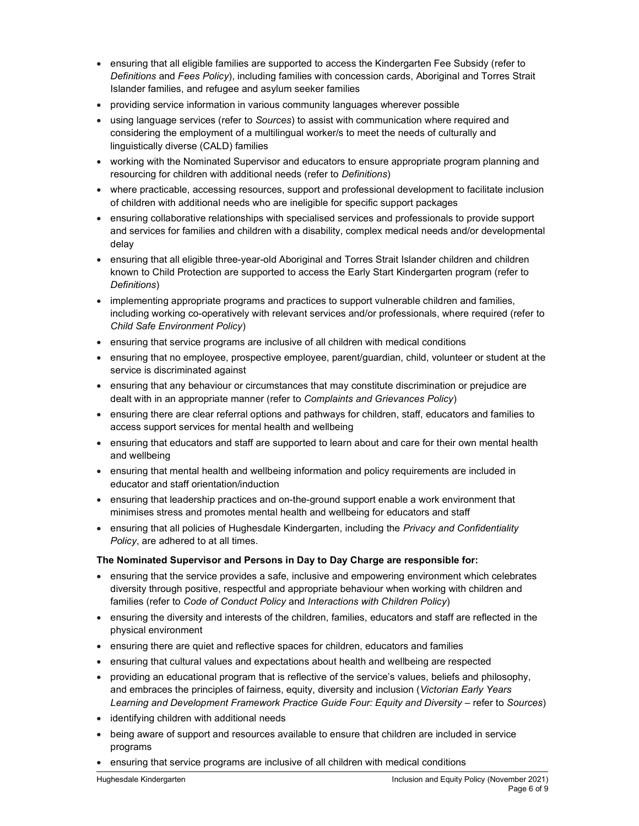- ensuring that all eligible families are supported to access the Kindergarten Fee Subsidy (refer to Definitions and Fees Policy), including families with concession cards, Aboriginal and Torres Strait Islander families, and refugee and asylum seeker families
- providing service information in various community languages wherever possible
- using language services (refer to Sources) to assist with communication where required and considering the employment of a multilingual worker/s to meet the needs of culturally and linguistically diverse (CALD) families
- working with the Nominated Supervisor and educators to ensure appropriate program planning and resourcing for children with additional needs (refer to Definitions)
- where practicable, accessing resources, support and professional development to facilitate inclusion of children with additional needs who are ineligible for specific support packages
- ensuring collaborative relationships with specialised services and professionals to provide support and services for families and children with a disability, complex medical needs and/or developmental delay
- ensuring that all eligible three-year-old Aboriginal and Torres Strait Islander children and children known to Child Protection are supported to access the Early Start Kindergarten program (refer to Definitions)
- implementing appropriate programs and practices to support vulnerable children and families, including working co-operatively with relevant services and/or professionals, where required (refer to Child Safe Environment Policy)
- ensuring that service programs are inclusive of all children with medical conditions
- ensuring that no employee, prospective employee, parent/guardian, child, volunteer or student at the service is discriminated against
- ensuring that any behaviour or circumstances that may constitute discrimination or prejudice are dealt with in an appropriate manner (refer to Complaints and Grievances Policy)
- ensuring there are clear referral options and pathways for children, staff, educators and families to access support services for mental health and wellbeing
- ensuring that educators and staff are supported to learn about and care for their own mental health and wellbeing
- ensuring that mental health and wellbeing information and policy requirements are included in educator and staff orientation/induction
- ensuring that leadership practices and on-the-ground support enable a work environment that minimises stress and promotes mental health and wellbeing for educators and staff
- **ensuring that all policies of Hughesdale Kindergarten, including the Privacy and Confidentiality** Policy, are adhered to at all times.

### The Nominated Supervisor and Persons in Day to Day Charge are responsible for:

- ensuring that the service provides a safe, inclusive and empowering environment which celebrates diversity through positive, respectful and appropriate behaviour when working with children and families (refer to Code of Conduct Policy and Interactions with Children Policy)
- ensuring the diversity and interests of the children, families, educators and staff are reflected in the physical environment
- ensuring there are quiet and reflective spaces for children, educators and families
- ensuring that cultural values and expectations about health and wellbeing are respected
- providing an educational program that is reflective of the service's values, beliefs and philosophy, and embraces the principles of fairness, equity, diversity and inclusion (Victorian Early Years Learning and Development Framework Practice Guide Four: Equity and Diversity – refer to Sources)
- identifying children with additional needs
- being aware of support and resources available to ensure that children are included in service programs
- ensuring that service programs are inclusive of all children with medical conditions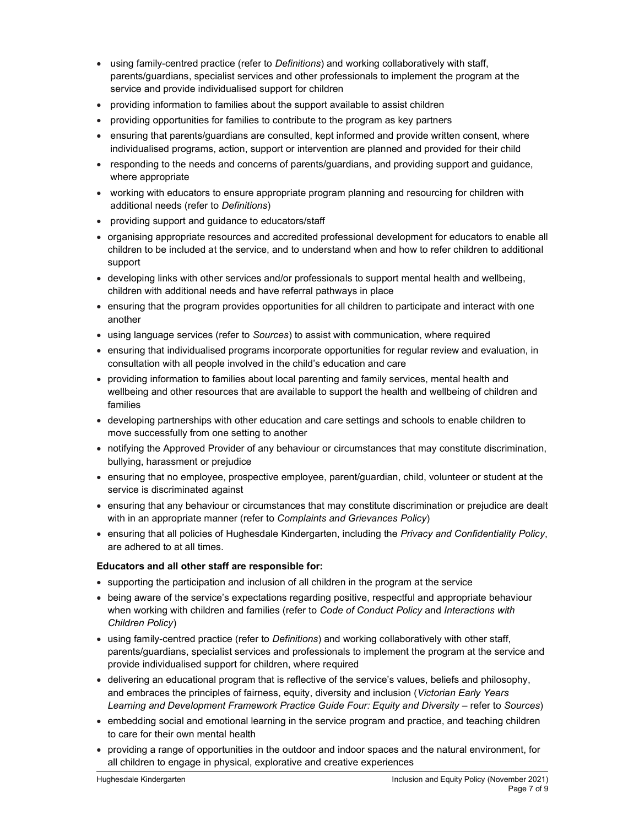- using family-centred practice (refer to *Definitions*) and working collaboratively with staff, parents/guardians, specialist services and other professionals to implement the program at the service and provide individualised support for children
- providing information to families about the support available to assist children
- providing opportunities for families to contribute to the program as key partners
- ensuring that parents/guardians are consulted, kept informed and provide written consent, where individualised programs, action, support or intervention are planned and provided for their child
- responding to the needs and concerns of parents/guardians, and providing support and guidance, where appropriate
- working with educators to ensure appropriate program planning and resourcing for children with additional needs (refer to Definitions)
- providing support and guidance to educators/staff
- organising appropriate resources and accredited professional development for educators to enable all children to be included at the service, and to understand when and how to refer children to additional support
- developing links with other services and/or professionals to support mental health and wellbeing, children with additional needs and have referral pathways in place
- ensuring that the program provides opportunities for all children to participate and interact with one another
- using language services (refer to Sources) to assist with communication, where required
- ensuring that individualised programs incorporate opportunities for regular review and evaluation, in consultation with all people involved in the child's education and care
- providing information to families about local parenting and family services, mental health and wellbeing and other resources that are available to support the health and wellbeing of children and families
- developing partnerships with other education and care settings and schools to enable children to move successfully from one setting to another
- notifying the Approved Provider of any behaviour or circumstances that may constitute discrimination, bullying, harassment or prejudice
- ensuring that no employee, prospective employee, parent/guardian, child, volunteer or student at the service is discriminated against
- ensuring that any behaviour or circumstances that may constitute discrimination or prejudice are dealt with in an appropriate manner (refer to Complaints and Grievances Policy)
- ensuring that all policies of Hughesdale Kindergarten, including the Privacy and Confidentiality Policy, are adhered to at all times.

#### Educators and all other staff are responsible for:

- supporting the participation and inclusion of all children in the program at the service
- being aware of the service's expectations regarding positive, respectful and appropriate behaviour when working with children and families (refer to Code of Conduct Policy and Interactions with Children Policy)
- using family-centred practice (refer to *Definitions*) and working collaboratively with other staff, parents/guardians, specialist services and professionals to implement the program at the service and provide individualised support for children, where required
- delivering an educational program that is reflective of the service's values, beliefs and philosophy, and embraces the principles of fairness, equity, diversity and inclusion (Victorian Early Years Learning and Development Framework Practice Guide Four: Equity and Diversity – refer to Sources)
- embedding social and emotional learning in the service program and practice, and teaching children to care for their own mental health
- providing a range of opportunities in the outdoor and indoor spaces and the natural environment, for all children to engage in physical, explorative and creative experiences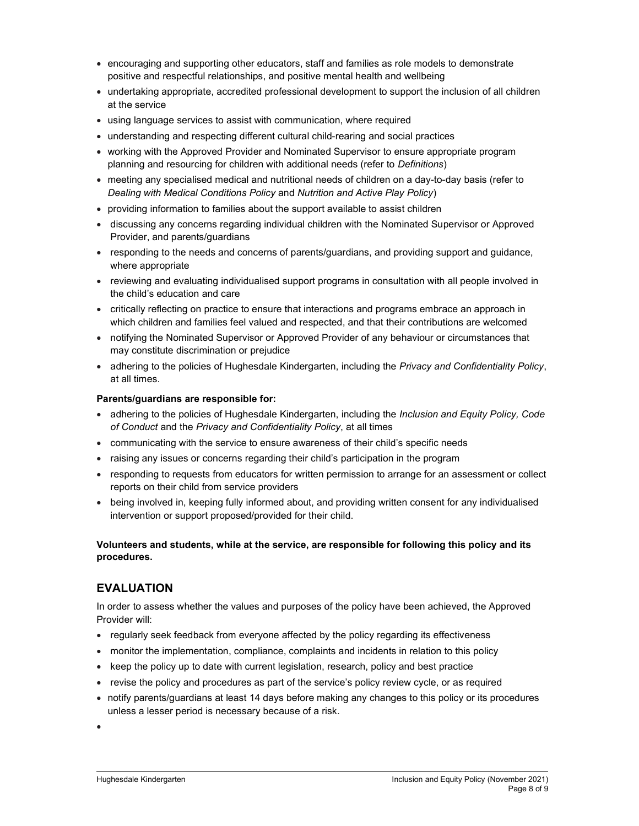- encouraging and supporting other educators, staff and families as role models to demonstrate positive and respectful relationships, and positive mental health and wellbeing
- undertaking appropriate, accredited professional development to support the inclusion of all children at the service
- using language services to assist with communication, where required
- understanding and respecting different cultural child-rearing and social practices
- working with the Approved Provider and Nominated Supervisor to ensure appropriate program planning and resourcing for children with additional needs (refer to Definitions)
- meeting any specialised medical and nutritional needs of children on a day-to-day basis (refer to Dealing with Medical Conditions Policy and Nutrition and Active Play Policy)
- providing information to families about the support available to assist children
- discussing any concerns regarding individual children with the Nominated Supervisor or Approved Provider, and parents/guardians
- responding to the needs and concerns of parents/guardians, and providing support and guidance, where appropriate
- reviewing and evaluating individualised support programs in consultation with all people involved in the child's education and care
- critically reflecting on practice to ensure that interactions and programs embrace an approach in which children and families feel valued and respected, and that their contributions are welcomed
- notifying the Nominated Supervisor or Approved Provider of any behaviour or circumstances that may constitute discrimination or prejudice
- adhering to the policies of Hughesdale Kindergarten, including the Privacy and Confidentiality Policy, at all times.

#### Parents/guardians are responsible for:

- adhering to the policies of Hughesdale Kindergarten, including the Inclusion and Equity Policy, Code of Conduct and the Privacy and Confidentiality Policy, at all times
- communicating with the service to ensure awareness of their child's specific needs
- raising any issues or concerns regarding their child's participation in the program
- responding to requests from educators for written permission to arrange for an assessment or collect reports on their child from service providers
- being involved in, keeping fully informed about, and providing written consent for any individualised intervention or support proposed/provided for their child.

#### Volunteers and students, while at the service, are responsible for following this policy and its procedures.

## EVALUATION

In order to assess whether the values and purposes of the policy have been achieved, the Approved Provider will:

- regularly seek feedback from everyone affected by the policy regarding its effectiveness
- monitor the implementation, compliance, complaints and incidents in relation to this policy
- keep the policy up to date with current legislation, research, policy and best practice
- revise the policy and procedures as part of the service's policy review cycle, or as required
- notify parents/guardians at least 14 days before making any changes to this policy or its procedures unless a lesser period is necessary because of a risk.

 $\bullet$